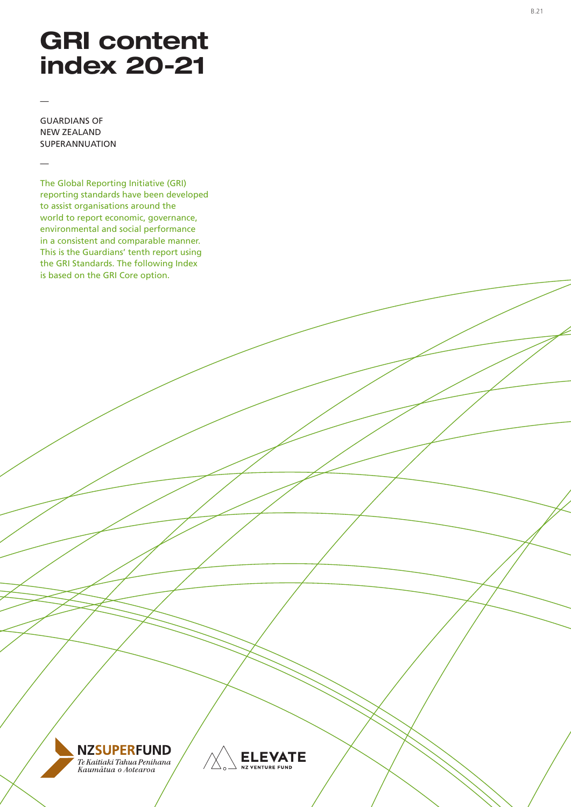# GRI content index 20-21

GUARDIANS OF NEW ZEALAND SUPERANNUATION

—

—

The Global Reporting Initiative (GRI) reporting standards have been developed to assist organisations around the world to report economic, governance, environmental and social performance in a consistent and comparable manner. This is the Guardians' tenth report using the GRI Standards. The following Index is based on the GRI Core option.



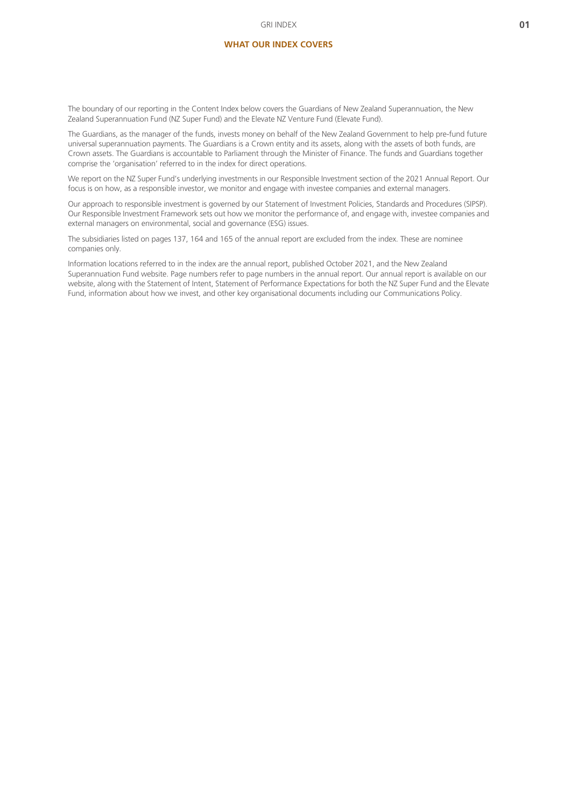#### **WHAT OUR INDEX COVERS**

The boundary of our reporting in the Content Index below covers the Guardians of New Zealand Superannuation, the New Zealand Superannuation Fund (NZ Super Fund) and the Elevate NZ Venture Fund (Elevate Fund).

The Guardians, as the manager of the funds, invests money on behalf of the New Zealand Government to help pre-fund future universal superannuation payments. The Guardians is a Crown entity and its assets, along with the assets of both funds, are Crown assets. The Guardians is accountable to Parliament through the Minister of Finance. The funds and Guardians together comprise the 'organisation' referred to in the index for direct operations.

We report on the NZ Super Fund's underlying investments in our Responsible Investment section of the 2021 Annual Report. Our focus is on how, as a responsible investor, we monitor and engage with investee companies and external managers.

Our approach to responsible investment is governed by our Statement of Investment Policies, Standards and Procedures (SIPSP). Our Responsible Investment Framework sets out how we monitor the performance of, and engage with, investee companies and external managers on environmental, social and governance (ESG) issues.

The subsidiaries listed on pages 137, 164 and 165 of the annual report are excluded from the index. These are nominee companies only.

Information locations referred to in the index are the annual report, published October 2021, and the New Zealand Superannuation Fund website. Page numbers refer to page numbers in the annual report. Our annual report is available on our website, along with the Statement of Intent, Statement of Performance Expectations for both the NZ Super Fund and the Elevate Fund, information about how we invest, and other key organisational documents including our Communications Policy.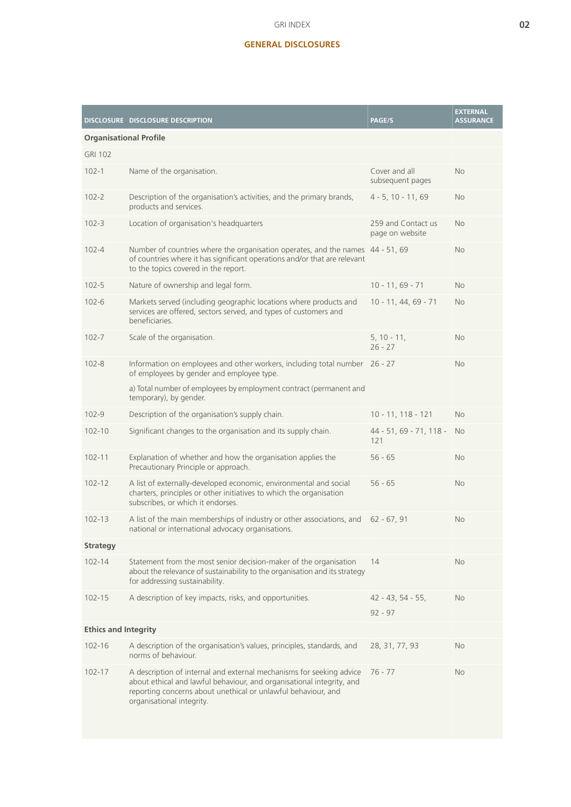## **GENERAL DISCLOSURES**

|                               | DISCLOSURE DISCLOSURE DESCRIPTION                                                                                                                                                                                                           | PAGE/S                                | <b>EXTERNAL</b><br><b>ASSURANCE</b> |
|-------------------------------|---------------------------------------------------------------------------------------------------------------------------------------------------------------------------------------------------------------------------------------------|---------------------------------------|-------------------------------------|
| <b>Organisational Profile</b> |                                                                                                                                                                                                                                             |                                       |                                     |
| <b>GRI 102</b>                |                                                                                                                                                                                                                                             |                                       |                                     |
| $102 - 1$                     | Name of the organisation.                                                                                                                                                                                                                   | Cover and all<br>subsequent pages     | No                                  |
| $102 - 2$                     | Description of the organisation's activities, and the primary brands,<br>products and services.                                                                                                                                             | $4 - 5$ , 10 - 11, 69                 | <b>No</b>                           |
| $102 - 3$                     | Location of organisation's headquarters                                                                                                                                                                                                     | 259 and Contact us<br>page on website | <b>No</b>                           |
| $102 - 4$                     | Number of countries where the organisation operates, and the names 44 - 51, 69<br>of countries where it has significant operations and/or that are relevant<br>to the topics covered in the report.                                         |                                       | <b>No</b>                           |
| $102 - 5$                     | Nature of ownership and legal form.                                                                                                                                                                                                         | $10 - 11, 69 - 71$                    | <b>No</b>                           |
| $102 - 6$                     | Markets served (including geographic locations where products and<br>services are offered, sectors served, and types of customers and<br>beneficiaries.                                                                                     | $10 - 11, 44, 69 - 71$                | <b>No</b>                           |
| $102 - 7$                     | Scale of the organisation.                                                                                                                                                                                                                  | $5, 10 - 11,$<br>$26 - 27$            | No                                  |
| $102 - 8$                     | Information on employees and other workers, including total number 26 - 27<br>of employees by gender and employee type.                                                                                                                     |                                       | <b>No</b>                           |
|                               | a) Total number of employees by employment contract (permanent and<br>temporary), by gender.                                                                                                                                                |                                       |                                     |
| $102 - 9$                     | Description of the organisation's supply chain.                                                                                                                                                                                             | $10 - 11, 118 - 121$                  | <b>No</b>                           |
| $102 - 10$                    | Significant changes to the organisation and its supply chain.                                                                                                                                                                               | 44 - 51, 69 - 71, 118 -<br>121        | <b>No</b>                           |
| $102 - 11$                    | Explanation of whether and how the organisation applies the<br>Precautionary Principle or approach.                                                                                                                                         | $56 - 65$                             | <b>No</b>                           |
| $102 - 12$                    | A list of externally-developed economic, environmental and social<br>charters, principles or other initiatives to which the organisation<br>subscribes, or which it endorses.                                                               | $56 - 65$                             | No                                  |
| $102 - 13$                    | A list of the main memberships of industry or other associations, and 62 - 67, 91<br>national or international advocacy organisations.                                                                                                      |                                       | No                                  |
| <b>Strategy</b>               |                                                                                                                                                                                                                                             |                                       |                                     |
| $102 - 14$                    | Statement from the most senior decision-maker of the organisation<br>about the relevance of sustainability to the organisation and its strategy<br>for addressing sustainability.                                                           | 14                                    | No                                  |
| $102 - 15$                    | A description of key impacts, risks, and opportunities.                                                                                                                                                                                     | $42 - 43, 54 - 55,$                   | No                                  |
|                               |                                                                                                                                                                                                                                             | $92 - 97$                             |                                     |
| <b>Ethics and Integrity</b>   |                                                                                                                                                                                                                                             |                                       |                                     |
| $102 - 16$                    | A description of the organisation's values, principles, standards, and<br>norms of behaviour.                                                                                                                                               | 28, 31, 77, 93                        | <b>No</b>                           |
| $102 - 17$                    | A description of internal and external mechanisms for seeking advice<br>about ethical and lawful behaviour, and organisational integrity, and<br>reporting concerns about unethical or unlawful behaviour, and<br>organisational integrity. | $76 - 77$                             | <b>No</b>                           |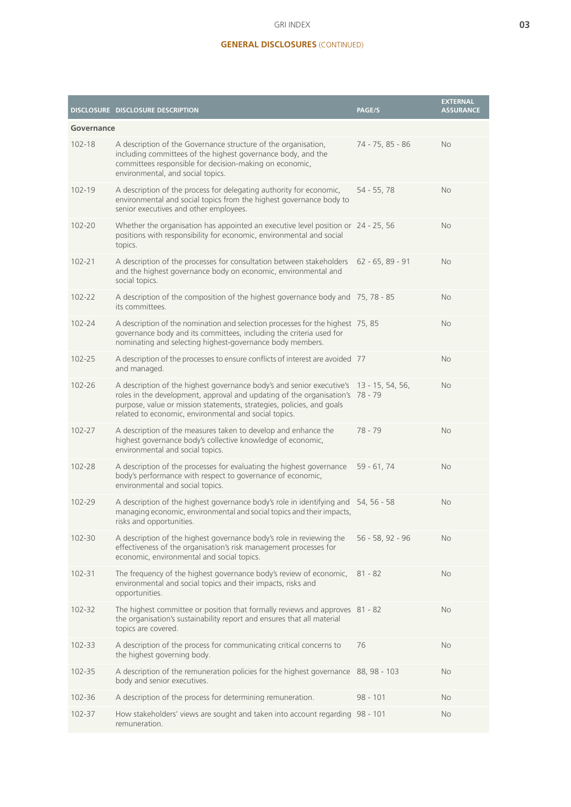#### GRI INDEX

## **GENERAL DISCLOSURES** (CONTINUED)

|            | DISCLOSURE DISCLOSURE DESCRIPTION                                                                                                                                                                                                                                                                         | PAGE/S             | <b>EXTERNAL</b><br><b>ASSURANCE</b> |
|------------|-----------------------------------------------------------------------------------------------------------------------------------------------------------------------------------------------------------------------------------------------------------------------------------------------------------|--------------------|-------------------------------------|
| Governance |                                                                                                                                                                                                                                                                                                           |                    |                                     |
| $102 - 18$ | A description of the Governance structure of the organisation,<br>including committees of the highest governance body, and the<br>committees responsible for decision-making on economic,<br>environmental, and social topics.                                                                            | 74 - 75, 85 - 86   | <b>No</b>                           |
| $102 - 19$ | A description of the process for delegating authority for economic,<br>environmental and social topics from the highest governance body to<br>senior executives and other employees.                                                                                                                      | $54 - 55, 78$      | <b>No</b>                           |
| 102-20     | Whether the organisation has appointed an executive level position or 24 - 25, 56<br>positions with responsibility for economic, environmental and social<br>topics.                                                                                                                                      |                    | <b>No</b>                           |
| $102 - 21$ | A description of the processes for consultation between stakeholders<br>and the highest governance body on economic, environmental and<br>social topics.                                                                                                                                                  | $62 - 65, 89 - 91$ | <b>No</b>                           |
| $102 - 22$ | A description of the composition of the highest governance body and 75, 78 - 85<br>its committees.                                                                                                                                                                                                        |                    | <b>No</b>                           |
| $102 - 24$ | A description of the nomination and selection processes for the highest 75, 85<br>governance body and its committees, including the criteria used for<br>nominating and selecting highest-governance body members.                                                                                        |                    | <b>No</b>                           |
| 102-25     | A description of the processes to ensure conflicts of interest are avoided 77<br>and managed.                                                                                                                                                                                                             |                    | No                                  |
| 102-26     | A description of the highest governance body's and senior executive's 13 - 15, 54, 56,<br>roles in the development, approval and updating of the organisation's 78 - 79<br>purpose, value or mission statements, strategies, policies, and goals<br>related to economic, environmental and social topics. |                    | <b>No</b>                           |
| 102-27     | A description of the measures taken to develop and enhance the<br>highest governance body's collective knowledge of economic,<br>environmental and social topics.                                                                                                                                         | $78 - 79$          | <b>No</b>                           |
| 102-28     | A description of the processes for evaluating the highest governance<br>body's performance with respect to governance of economic,<br>environmental and social topics.                                                                                                                                    | $59 - 61, 74$      | <b>No</b>                           |
| 102-29     | A description of the highest governance body's role in identifying and 54, 56 - 58<br>managing economic, environmental and social topics and their impacts,<br>risks and opportunities.                                                                                                                   |                    | <b>No</b>                           |
| 102-30     | A description of the highest governance body's role in reviewing the<br>effectiveness of the organisation's risk management processes for<br>economic, environmental and social topics.                                                                                                                   | $56 - 58, 92 - 96$ | <b>No</b>                           |
| 102-31     | The frequency of the highest governance body's review of economic,<br>environmental and social topics and their impacts, risks and<br>opportunities.                                                                                                                                                      | $81 - 82$          | <b>No</b>                           |
| 102-32     | The highest committee or position that formally reviews and approves 81 - 82<br>the organisation's sustainability report and ensures that all material<br>topics are covered.                                                                                                                             |                    | <b>No</b>                           |
| 102-33     | A description of the process for communicating critical concerns to<br>the highest governing body.                                                                                                                                                                                                        | 76                 | No                                  |
| 102-35     | A description of the remuneration policies for the highest governance<br>body and senior executives.                                                                                                                                                                                                      | 88, 98 - 103       | <b>No</b>                           |
| 102-36     | A description of the process for determining remuneration.                                                                                                                                                                                                                                                | $98 - 101$         | No                                  |
| 102-37     | How stakeholders' views are sought and taken into account regarding 98 - 101<br>remuneration.                                                                                                                                                                                                             |                    | No                                  |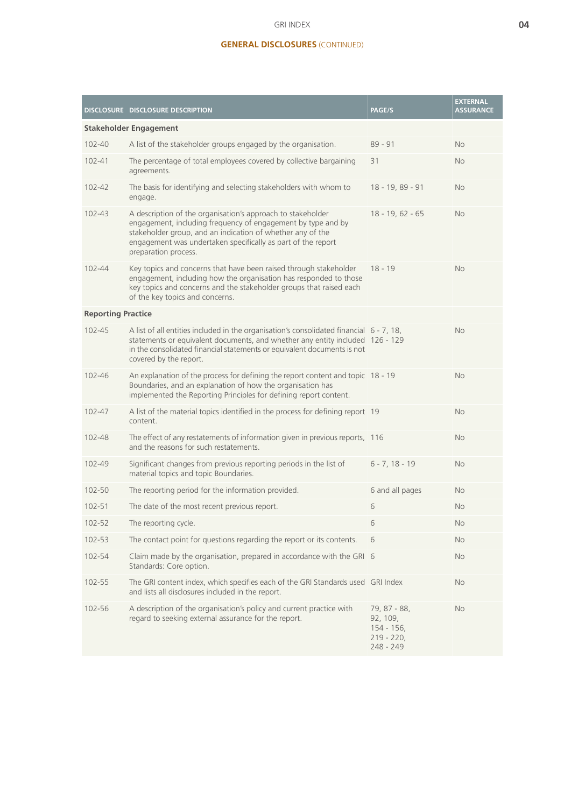#### GRI INDEX

## **GENERAL DISCLOSURES** (CONTINUED)

| <b>Stakeholder Engagement</b><br>A list of the stakeholder groups engaged by the organisation.<br>$102 - 40$<br>$89 - 91$<br><b>No</b><br>The percentage of total employees covered by collective bargaining<br>$102 - 41$<br>31<br><b>No</b><br>agreements.<br>102-42<br>The basis for identifying and selecting stakeholders with whom to<br>18 - 19, 89 - 91<br><b>No</b><br>engage.<br>102-43<br>A description of the organisation's approach to stakeholder<br>$18 - 19, 62 - 65$<br><b>No</b><br>engagement, including frequency of engagement by type and by<br>stakeholder group, and an indication of whether any of the<br>engagement was undertaken specifically as part of the report<br>preparation process.<br>Key topics and concerns that have been raised through stakeholder<br>$102 - 44$<br>$18 - 19$<br><b>No</b><br>engagement, including how the organisation has responded to those<br>key topics and concerns and the stakeholder groups that raised each<br>of the key topics and concerns.<br><b>Reporting Practice</b><br>A list of all entities included in the organisation's consolidated financial 6 - 7, 18,<br>$102 - 45$<br><b>No</b><br>statements or equivalent documents, and whether any entity included 126 - 129<br>in the consolidated financial statements or equivalent documents is not<br>covered by the report.<br>102-46<br>An explanation of the process for defining the report content and topic 18 - 19<br><b>No</b><br>Boundaries, and an explanation of how the organisation has<br>implemented the Reporting Principles for defining report content. |  | DISCLOSURE DISCLOSURE DESCRIPTION | PAGE/S | <b>EXTERNAL</b><br><b>ASSURANCE</b> |  |
|-------------------------------------------------------------------------------------------------------------------------------------------------------------------------------------------------------------------------------------------------------------------------------------------------------------------------------------------------------------------------------------------------------------------------------------------------------------------------------------------------------------------------------------------------------------------------------------------------------------------------------------------------------------------------------------------------------------------------------------------------------------------------------------------------------------------------------------------------------------------------------------------------------------------------------------------------------------------------------------------------------------------------------------------------------------------------------------------------------------------------------------------------------------------------------------------------------------------------------------------------------------------------------------------------------------------------------------------------------------------------------------------------------------------------------------------------------------------------------------------------------------------------------------------------------------------------------------------------------------|--|-----------------------------------|--------|-------------------------------------|--|
|                                                                                                                                                                                                                                                                                                                                                                                                                                                                                                                                                                                                                                                                                                                                                                                                                                                                                                                                                                                                                                                                                                                                                                                                                                                                                                                                                                                                                                                                                                                                                                                                             |  |                                   |        |                                     |  |
|                                                                                                                                                                                                                                                                                                                                                                                                                                                                                                                                                                                                                                                                                                                                                                                                                                                                                                                                                                                                                                                                                                                                                                                                                                                                                                                                                                                                                                                                                                                                                                                                             |  |                                   |        |                                     |  |
|                                                                                                                                                                                                                                                                                                                                                                                                                                                                                                                                                                                                                                                                                                                                                                                                                                                                                                                                                                                                                                                                                                                                                                                                                                                                                                                                                                                                                                                                                                                                                                                                             |  |                                   |        |                                     |  |
|                                                                                                                                                                                                                                                                                                                                                                                                                                                                                                                                                                                                                                                                                                                                                                                                                                                                                                                                                                                                                                                                                                                                                                                                                                                                                                                                                                                                                                                                                                                                                                                                             |  |                                   |        |                                     |  |
|                                                                                                                                                                                                                                                                                                                                                                                                                                                                                                                                                                                                                                                                                                                                                                                                                                                                                                                                                                                                                                                                                                                                                                                                                                                                                                                                                                                                                                                                                                                                                                                                             |  |                                   |        |                                     |  |
|                                                                                                                                                                                                                                                                                                                                                                                                                                                                                                                                                                                                                                                                                                                                                                                                                                                                                                                                                                                                                                                                                                                                                                                                                                                                                                                                                                                                                                                                                                                                                                                                             |  |                                   |        |                                     |  |
|                                                                                                                                                                                                                                                                                                                                                                                                                                                                                                                                                                                                                                                                                                                                                                                                                                                                                                                                                                                                                                                                                                                                                                                                                                                                                                                                                                                                                                                                                                                                                                                                             |  |                                   |        |                                     |  |
|                                                                                                                                                                                                                                                                                                                                                                                                                                                                                                                                                                                                                                                                                                                                                                                                                                                                                                                                                                                                                                                                                                                                                                                                                                                                                                                                                                                                                                                                                                                                                                                                             |  |                                   |        |                                     |  |
|                                                                                                                                                                                                                                                                                                                                                                                                                                                                                                                                                                                                                                                                                                                                                                                                                                                                                                                                                                                                                                                                                                                                                                                                                                                                                                                                                                                                                                                                                                                                                                                                             |  |                                   |        |                                     |  |
| A list of the material topics identified in the process for defining report 19<br>$102 - 47$<br>No<br>content.                                                                                                                                                                                                                                                                                                                                                                                                                                                                                                                                                                                                                                                                                                                                                                                                                                                                                                                                                                                                                                                                                                                                                                                                                                                                                                                                                                                                                                                                                              |  |                                   |        |                                     |  |
| The effect of any restatements of information given in previous reports, 116<br>102-48<br><b>No</b><br>and the reasons for such restatements.                                                                                                                                                                                                                                                                                                                                                                                                                                                                                                                                                                                                                                                                                                                                                                                                                                                                                                                                                                                                                                                                                                                                                                                                                                                                                                                                                                                                                                                               |  |                                   |        |                                     |  |
| 102-49<br>$6 - 7, 18 - 19$<br>Significant changes from previous reporting periods in the list of<br><b>No</b><br>material topics and topic Boundaries.                                                                                                                                                                                                                                                                                                                                                                                                                                                                                                                                                                                                                                                                                                                                                                                                                                                                                                                                                                                                                                                                                                                                                                                                                                                                                                                                                                                                                                                      |  |                                   |        |                                     |  |
| 6 and all pages<br>102-50<br>The reporting period for the information provided.<br><b>No</b>                                                                                                                                                                                                                                                                                                                                                                                                                                                                                                                                                                                                                                                                                                                                                                                                                                                                                                                                                                                                                                                                                                                                                                                                                                                                                                                                                                                                                                                                                                                |  |                                   |        |                                     |  |
| 102-51<br>The date of the most recent previous report.<br>6<br>No                                                                                                                                                                                                                                                                                                                                                                                                                                                                                                                                                                                                                                                                                                                                                                                                                                                                                                                                                                                                                                                                                                                                                                                                                                                                                                                                                                                                                                                                                                                                           |  |                                   |        |                                     |  |
| 102-52<br>6<br>The reporting cycle.<br>No                                                                                                                                                                                                                                                                                                                                                                                                                                                                                                                                                                                                                                                                                                                                                                                                                                                                                                                                                                                                                                                                                                                                                                                                                                                                                                                                                                                                                                                                                                                                                                   |  |                                   |        |                                     |  |
| 102-53<br>The contact point for questions regarding the report or its contents.<br>No<br>6                                                                                                                                                                                                                                                                                                                                                                                                                                                                                                                                                                                                                                                                                                                                                                                                                                                                                                                                                                                                                                                                                                                                                                                                                                                                                                                                                                                                                                                                                                                  |  |                                   |        |                                     |  |
| Claim made by the organisation, prepared in accordance with the GRI 6<br>102-54<br>No<br>Standards: Core option.                                                                                                                                                                                                                                                                                                                                                                                                                                                                                                                                                                                                                                                                                                                                                                                                                                                                                                                                                                                                                                                                                                                                                                                                                                                                                                                                                                                                                                                                                            |  |                                   |        |                                     |  |
| The GRI content index, which specifies each of the GRI Standards used GRI Index<br>102-55<br>No<br>and lists all disclosures included in the report.                                                                                                                                                                                                                                                                                                                                                                                                                                                                                                                                                                                                                                                                                                                                                                                                                                                                                                                                                                                                                                                                                                                                                                                                                                                                                                                                                                                                                                                        |  |                                   |        |                                     |  |
| 102-56<br>A description of the organisation's policy and current practice with<br>79, 87 - 88,<br>No<br>regard to seeking external assurance for the report.<br>92, 109,<br>$154 - 156$ ,<br>$219 - 220,$<br>248 - 249                                                                                                                                                                                                                                                                                                                                                                                                                                                                                                                                                                                                                                                                                                                                                                                                                                                                                                                                                                                                                                                                                                                                                                                                                                                                                                                                                                                      |  |                                   |        |                                     |  |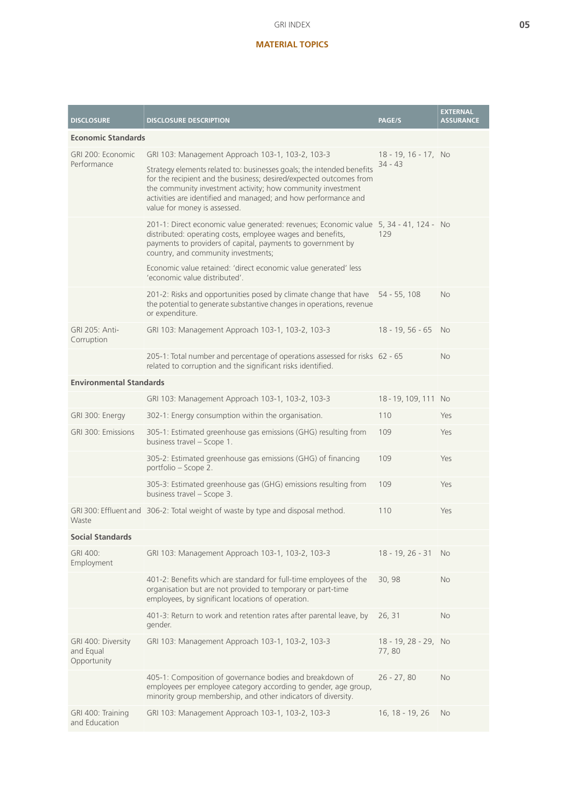## **MATERIAL TOPICS**

| <b>DISCLOSURE</b>                              | <b>DISCLOSURE DESCRIPTION</b>                                                                                                                                                                                                                                                                                | PAGE/S                            | <b>EXTERNAL</b><br><b>ASSURANCE</b> |
|------------------------------------------------|--------------------------------------------------------------------------------------------------------------------------------------------------------------------------------------------------------------------------------------------------------------------------------------------------------------|-----------------------------------|-------------------------------------|
| <b>Economic Standards</b>                      |                                                                                                                                                                                                                                                                                                              |                                   |                                     |
| GRI 200: Economic                              | GRI 103: Management Approach 103-1, 103-2, 103-3                                                                                                                                                                                                                                                             | 18 - 19, 16 - 17, No<br>$34 - 43$ |                                     |
| Performance                                    | Strategy elements related to: businesses goals; the intended benefits<br>for the recipient and the business; desired/expected outcomes from<br>the community investment activity; how community investment<br>activities are identified and managed; and how performance and<br>value for money is assessed. |                                   |                                     |
|                                                | 201-1: Direct economic value generated: revenues; Economic value 5, 34 - 41, 124 - No<br>distributed: operating costs, employee wages and benefits,<br>payments to providers of capital, payments to government by<br>country, and community investments;                                                    | 129                               |                                     |
|                                                | Economic value retained: 'direct economic value generated' less<br>'economic value distributed'.                                                                                                                                                                                                             |                                   |                                     |
|                                                | 201-2: Risks and opportunities posed by climate change that have<br>the potential to generate substantive changes in operations, revenue<br>or expenditure.                                                                                                                                                  | $54 - 55, 108$                    | <b>No</b>                           |
| <b>GRI 205: Anti-</b><br>Corruption            | GRI 103: Management Approach 103-1, 103-2, 103-3                                                                                                                                                                                                                                                             | $18 - 19, 56 - 65$                | <b>No</b>                           |
|                                                | 205-1: Total number and percentage of operations assessed for risks 62 - 65<br>related to corruption and the significant risks identified.                                                                                                                                                                   |                                   | No                                  |
| <b>Environmental Standards</b>                 |                                                                                                                                                                                                                                                                                                              |                                   |                                     |
|                                                | GRI 103: Management Approach 103-1, 103-2, 103-3                                                                                                                                                                                                                                                             | 18 - 19, 109, 111 No              |                                     |
| GRI 300: Energy                                | 302-1: Energy consumption within the organisation.                                                                                                                                                                                                                                                           | 110                               | Yes                                 |
| GRI 300: Emissions                             | 305-1: Estimated greenhouse gas emissions (GHG) resulting from<br>business travel - Scope 1.                                                                                                                                                                                                                 | 109                               | Yes                                 |
|                                                | 305-2: Estimated greenhouse gas emissions (GHG) of financing<br>portfolio - Scope 2.                                                                                                                                                                                                                         | 109                               | Yes                                 |
|                                                | 305-3: Estimated greenhouse gas (GHG) emissions resulting from<br>business travel - Scope 3.                                                                                                                                                                                                                 | 109                               | Yes                                 |
| Waste                                          | GRI 300: Effluent and 306-2: Total weight of waste by type and disposal method.                                                                                                                                                                                                                              | 110                               | Yes                                 |
| <b>Social Standards</b>                        |                                                                                                                                                                                                                                                                                                              |                                   |                                     |
| GRI 400:<br>Employment                         | GRI 103: Management Approach 103-1, 103-2, 103-3                                                                                                                                                                                                                                                             | 18 - 19, 26 - 31                  | <b>No</b>                           |
|                                                | 401-2: Benefits which are standard for full-time employees of the<br>organisation but are not provided to temporary or part-time<br>employees, by significant locations of operation.                                                                                                                        | 30,98                             | <b>No</b>                           |
|                                                | 401-3: Return to work and retention rates after parental leave, by<br>gender.                                                                                                                                                                                                                                | 26, 31                            | No                                  |
| GRI 400: Diversity<br>and Equal<br>Opportunity | GRI 103: Management Approach 103-1, 103-2, 103-3                                                                                                                                                                                                                                                             | 18 - 19, 28 - 29, No<br>77,80     |                                     |
|                                                | 405-1: Composition of governance bodies and breakdown of<br>employees per employee category according to gender, age group,<br>minority group membership, and other indicators of diversity.                                                                                                                 | $26 - 27,80$                      | <b>No</b>                           |
| GRI 400: Training<br>and Education             | GRI 103: Management Approach 103-1, 103-2, 103-3                                                                                                                                                                                                                                                             | 16, 18 - 19, 26                   | No                                  |